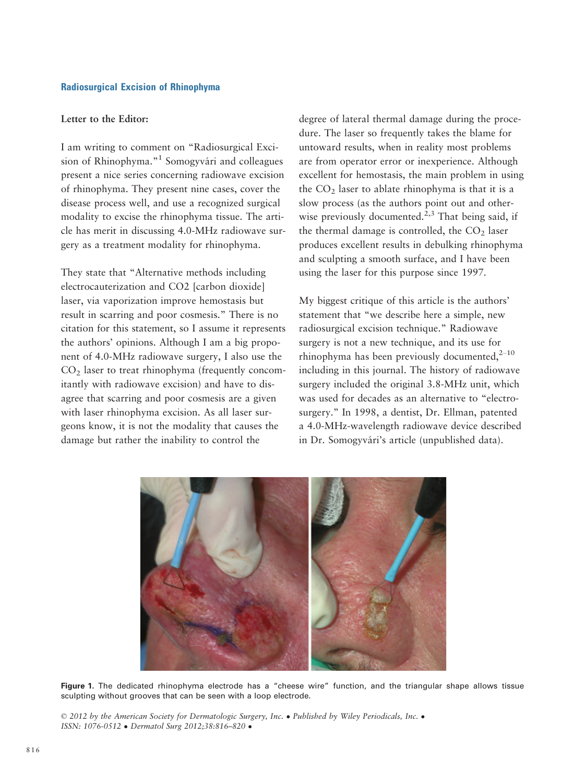# Radiosurgical Excision of Rhinophyma

# Letter to the Editor:

I am writing to comment on "Radiosurgical Excision of Rhinophyma."<sup>1</sup> Somogyvári and colleagues present a nice series concerning radiowave excision of rhinophyma. They present nine cases, cover the disease process well, and use a recognized surgical modality to excise the rhinophyma tissue. The article has merit in discussing 4.0-MHz radiowave surgery as a treatment modality for rhinophyma.

They state that "Alternative methods including electrocauterization and CO2 [carbon dioxide] laser, via vaporization improve hemostasis but result in scarring and poor cosmesis." There is no citation for this statement, so I assume it represents the authors' opinions. Although I am a big proponent of 4.0-MHz radiowave surgery, I also use the  $CO<sub>2</sub>$  laser to treat rhinophyma (frequently concomitantly with radiowave excision) and have to disagree that scarring and poor cosmesis are a given with laser rhinophyma excision. As all laser surgeons know, it is not the modality that causes the damage but rather the inability to control the

degree of lateral thermal damage during the procedure. The laser so frequently takes the blame for untoward results, when in reality most problems are from operator error or inexperience. Although excellent for hemostasis, the main problem in using the  $CO<sub>2</sub>$  laser to ablate rhinophyma is that it is a slow process (as the authors point out and otherwise previously documented.<sup>2,3</sup> That being said, if the thermal damage is controlled, the  $CO<sub>2</sub>$  laser produces excellent results in debulking rhinophyma and sculpting a smooth surface, and I have been using the laser for this purpose since 1997.

My biggest critique of this article is the authors' statement that "we describe here a simple, new radiosurgical excision technique." Radiowave surgery is not a new technique, and its use for rhinophyma has been previously documented, $2^{-10}$ including in this journal. The history of radiowave surgery included the original 3.8-MHz unit, which was used for decades as an alternative to "electrosurgery." In 1998, a dentist, Dr. Ellman, patented a 4.0-MHz-wavelength radiowave device described in Dr. Somogyvári's article (unpublished data).



Figure 1. The dedicated rhinophyma electrode has a "cheese wire" function, and the triangular shape allows tissue sculpting without grooves that can be seen with a loop electrode.

© 2012 by the American Society for Dermatologic Surgery, Inc. Published by Wiley Periodicals, Inc. ISSN: 1076-0512 Dermatol Surg 2012;38:816–820